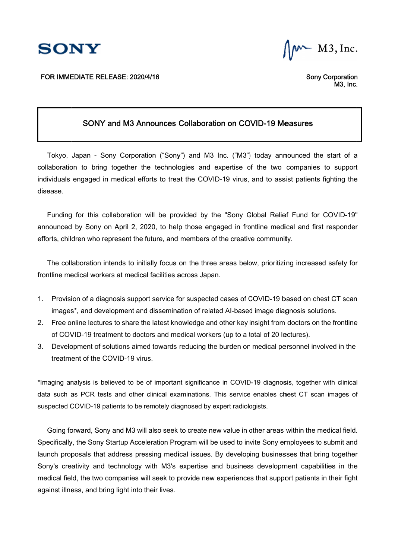

FOR IMMEDIATE RELEASE: 2020/4/16

M3, Inc.

 Sony Corporation Corporation M3, Inc. Inc.

## SONY and M3 Announces Collaboration on COVID SONY Announces Collaboration on COVID SONY Collaboration on COVID-19 Measures 19 Measures

Tokyo, Japan - Sony Corporation ("Sony") and M3 Inc. ("M3") today announced the start of a collaboration to bring together the technologies and expertise of the two companies to support collaboration to bring together the technologies and expertise of the two companies to support<br>individuals engaged in medical efforts to treat the COVID-19 virus, and to assist patients fighting the disease. ividuals engaged in medical efforts to treat the COVID-19 virus, and to assist patients fighting the<br>ease.<br>Funding for this collaboration will be provided by the "Sony Global Relief Fund for COVID-19" Tokyo, Japan - Sony Corporation ("Sony") and M3 Inc. ("M3") today announced the start of a collaboration to bring together the technologies and expertise of the two companies to support individuals engaged in medical effor o, Japan - Sony Corporation ("Sony") and M3 Inc. ("M3") today announced the start of a<br>ation to bring together the technologies and expertise of the two companies to support<br>als engaged in medical efforts to treat the COVI Sony Corporation<br>
Sony Corporation<br>
MS, MS,<br>
NDV and M3 Announcess Collaboration on COVID-19 Measures<br>
Sony Corporation ("Sony") and M3 Inc. ("M3") today announced the start<br>
ring together the technologies and expertise of in - Sony Corporation ("Sony") and M3 Inc. ("M3") today announced the<br>b bring together the technologies and expertise of the two companies to<br>aged in medical efforts to treat the COVID-19 virus, and to assist patients fi<br>t

announced by Sony on April 2, 2020, to help those engaged in frontline medical and first responder announced by Sony on April 2, 2020, to help those engaged in frontline medical and<br>efforts, children who represent the future, and members of the creative community.

prts, children who represent the future, and members of the creative community.<br>The collaboration intends to initially focus on the three areas below, prioritizing increased safety for frontline medical workers at medical facilities across Japan. The collaboration intends to initially focus on the three areas below, prioritizing increased safety for<br>frontline medical workers at medical facilities across Japan.<br>1. Provision of a diagnosis support service for suspect

- images\*, and development and dissemination of related AI-based image diagnosis solutions. frontline medical workers at medical facilities across Japan.<br>1. Provision of a diagnosis support service for suspected<br>images\*, and development and dissemination of relate<br>2. Free online lectures to share the latest knowl
- of COVID COVID-19 treatment to doctors and medical workers (up to a total of 20 lectures). is a diagnosis support service for suspected cases of COVID-19 based on chest C1<br>d development and dissemination of related AI-based image diagnosis solutions.<br>lectures to share the latest knowledge and other key insight f other key insight from images\*, and development and dissemination of related Al-based image diagnosis solutions.<br>Free online lectures to share the latest knowledge and other key insight from doctors on the frontline<br>of COVID-19 treatment to doct other key insight from doctors on the frontline
- 3. Development of solutions aimed towards reducing the burden on medical personnel involved in the Development of solutions aimed on treatment of the COVID 19 treatment to doctors and medical workers (up to a total of 20 lectures).<br>ent of solutions aimed towards reducing the burden on medical personnel involved in the<br>of the COVID-19 virus.

\*Imaging analysis is believed to be of important significance in COVID-19 diagnosis, together with clinical data such as PCR tests and other clinical suspected COVID-19 patients to be remotely diagnosed by expert radiologists. jing analysis is believed to be of important significance in COVID-19 diagnosis, together with clinical<br>such as PCR tests and other clinical examinations. This service enables chest CT scan images of<br>ected COVID-19 patient

Going forward, Sony and M3 will also seek to create new value in other areas within the medical field. .Going forward, Sony and M3 will also seek to create new value in other areas within the medical field<br>Specifically, the Sony Startup Acceleration Program will be used to invite Sony employees to submit and Specifically, the Sony Startup Acceleration Program will be used to invite Sony employees to submit and<br>launch proposals that address pressing medical issues. By developing businesses that bring together Going forward, Sony and M3 will also seek to create new value in other areas within the medical field.<br>Specifically, the Sony Startup Acceleration Program will be used to invite Sony employees to submit and<br>launch proposal medical field, the two companies will seek to provide new experiences that support patient<br>against illness, and bring light into their lives. against illness, and bring light into their lives. Sony Compact The Compact of Sampletian Control of Sampletian Sony Compact SAM (M3)<br>
SONY and M3 Announces Collaboration on COVID-19 Measures<br>
co, Japan - Sany Corporation ("Sany") and M3 Inc. ("M3") today announced the sta medical issues. businesses that and business will to support patient sed on frontline s in their